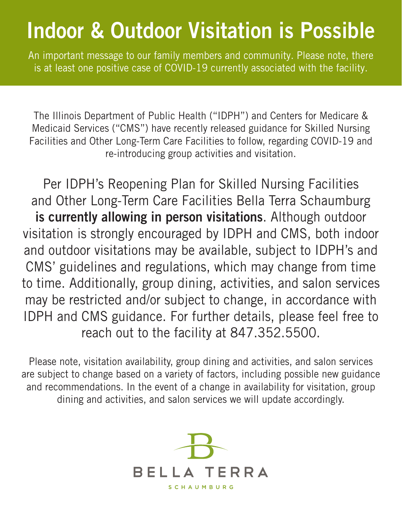## Indoor & Outdoor Visitation is Possible

An important message to our family members and community. Please note, there is at least one positive case of COVID-19 currently associated with the facility.

The Illinois Department of Public Health ("IDPH") and Centers for Medicare & Medicaid Services ("CMS") have recently released guidance for Skilled Nursing Facilities and Other Long-Term Care Facilities to follow, regarding COVID-19 and re-introducing group activities and visitation.

Per IDPH's Reopening Plan for Skilled Nursing Facilities and Other Long-Term Care Facilities Bella Terra Schaumburg is currently allowing in person visitations. Although outdoor visitation is strongly encouraged by IDPH and CMS, both indoor and outdoor visitations may be available, subject to IDPH's and CMS' guidelines and regulations, which may change from time to time. Additionally, group dining, activities, and salon services may be restricted and/or subject to change, in accordance with IDPH and CMS guidance. For further details, please feel free to reach out to the facility at 847.352.5500.

Please note, visitation availability, group dining and activities, and salon services are subject to change based on a variety of factors, including possible new guidance and recommendations. In the event of a change in availability for visitation, group dining and activities, and salon services we will update accordingly.